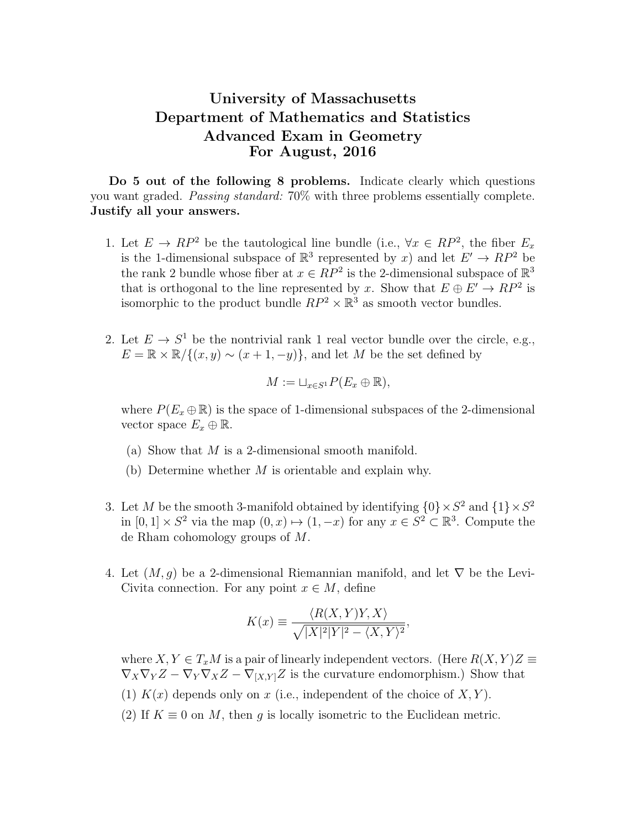## University of Massachusetts Department of Mathematics and Statistics Advanced Exam in Geometry For August, 2016

Do 5 out of the following 8 problems. Indicate clearly which questions you want graded. Passing standard: 70% with three problems essentially complete. Justify all your answers.

- 1. Let  $E \to RP^2$  be the tautological line bundle (i.e.,  $\forall x \in RP^2$ , the fiber  $E_x$ is the 1-dimensional subspace of  $\mathbb{R}^3$  represented by x) and let  $E' \to RP^2$  be the rank 2 bundle whose fiber at  $x \in RP^2$  is the 2-dimensional subspace of  $\mathbb{R}^3$ that is orthogonal to the line represented by x. Show that  $E \oplus E' \to RP^2$  is isomorphic to the product bundle  $RP^2 \times \mathbb{R}^3$  as smooth vector bundles.
- 2. Let  $E \to S^1$  be the nontrivial rank 1 real vector bundle over the circle, e.g.,  $E = \mathbb{R} \times \mathbb{R} / \{(x, y) \sim (x + 1, -y)\}\,$  and let M be the set defined by

$$
M := \sqcup_{x \in S^1} P(E_x \oplus \mathbb{R}),
$$

where  $P(E_x \oplus \mathbb{R})$  is the space of 1-dimensional subspaces of the 2-dimensional vector space  $E_x \oplus \mathbb{R}$ .

- (a) Show that M is a 2-dimensional smooth manifold.
- (b) Determine whether  $M$  is orientable and explain why.
- 3. Let M be the smooth 3-manifold obtained by identifying  $\{0\} \times S^2$  and  $\{1\} \times S^2$ in  $[0,1] \times S^2$  via the map  $(0, x) \mapsto (1, -x)$  for any  $x \in S^2 \subset \mathbb{R}^3$ . Compute the de Rham cohomology groups of M.
- 4. Let  $(M, g)$  be a 2-dimensional Riemannian manifold, and let  $\nabla$  be the Levi-Civita connection. For any point  $x \in M$ , define

$$
K(x) \equiv \frac{\langle R(X,Y)Y, X \rangle}{\sqrt{|X|^2|Y|^2 - \langle X, Y \rangle^2}},
$$

where  $X, Y \in T_xM$  is a pair of linearly independent vectors. (Here  $R(X, Y)Z \equiv$  $\nabla_X \nabla_Y Z - \nabla_Y \nabla_X Z - \nabla_{[X,Y]} Z$  is the curvature endomorphism.) Show that (1)  $K(x)$  depends only on x (i.e., independent of the choice of  $X, Y$ ). (2) If  $K \equiv 0$  on M, then g is locally isometric to the Euclidean metric.